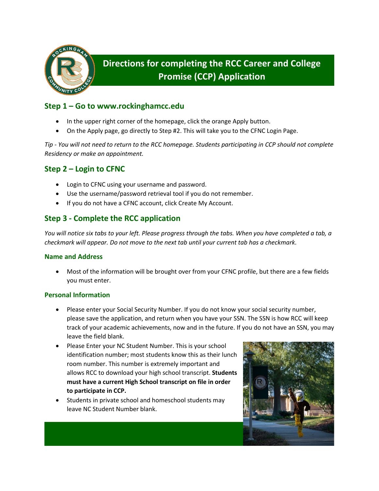

# **Directions for completing the RCC Career and College Promise (CCP) Application**

## **Step 1 – Go to www.rockinghamcc.edu**

- In the upper right corner of the homepage, click the orange Apply button.
- On the Apply page, go directly to Step #2. This will take you to the CFNC Login Page.

*Tip - You will not need to return to the RCC homepage. Students participating in CCP should not complete Residency or make an appointment.*

# **Step 2 – Login to CFNC**

- Login to CFNC using your username and password.
- Use the username/password retrieval tool if you do not remember.
- If you do not have a CFNC account, click Create My Account.

## **Step 3 - Complete the RCC application**

*You will notice six tabs to your left. Please progress through the tabs. When you have completed a tab, a checkmark will appear. Do not move to the next tab until your current tab has a checkmark.*

## **Name and Address**

• Most of the information will be brought over from your CFNC profile, but there are a few fields you must enter.

## **Personal Information**

- Please enter your Social Security Number. If you do not know your social security number, please save the application, and return when you have your SSN. The SSN is how RCC will keep track of your academic achievements, now and in the future. If you do not have an SSN, you may leave the field blank.
- Please Enter your NC Student Number. This is your school identification number; most students know this as their lunch room number. This number is extremely important and allows RCC to download your high school transcript. **Students must have a current High School transcript on file in order to participate in CCP.**
- Students in private school and homeschool students may leave NC Student Number blank.